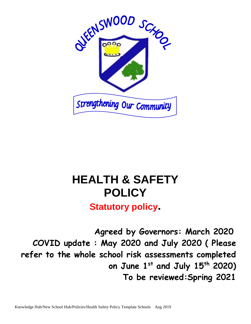

# **HEALTH & SAFETY POLICY**

**Statutory policy.**

 **Agreed by Governors: March 2020 COVID update : May 2020 and July 2020 ( Please refer to the whole school risk assessments completed on June 1st and July 15th 2020) To be reviewed:Spring 2021**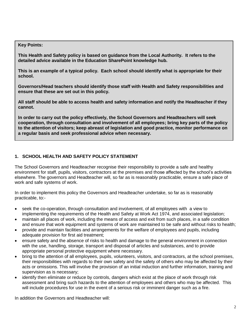#### **Key Points:**

**This Health and Safety policy is based on guidance from the Local Authority. It refers to the detailed advice available in the Education SharePoint knowledge hub.**

**This is an example of a typical policy. Each school should identify what is appropriate for their school.**

**Governors/Head teachers should identify those staff with Health and Safety responsibilities and ensure that these are set out in this policy.** 

**All staff should be able to access health and safety information and notify the Headteacher if they cannot.**

**In order to carry out the policy effectively, the School Governors and Headteachers will seek cooperation, through consultation and involvement of all employees; bring key parts of the policy to the attention of visitors; keep abreast of legislation and good practice, monitor performance on a regular basis and seek professional advice when necessary.**

## **1. SCHOOL HEALTH AND SAFETY POLICY STATEMENT**

The School Governors and Headteacher recognise their responsibility to provide a safe and healthy environment for staff, pupils, visitors, contractors at the premises and those affected by the school's activities elsewhere. The governors and Headteacher will, so far as is reasonably practicable, ensure a safe place of work and safe systems of work.

In order to implement this policy the Governors and Headteacher undertake, so far as is reasonably practicable, to:-

- seek the co-operation, through consultation and involvement, of all employees with a view to implementing the requirements of the Health and Safety at Work Act 1974, and associated legislation;
- maintain all places of work, including the means of access and exit from such places, in a safe condition and ensure that work equipment and systems of work are maintained to be safe and without risks to health;
- provide and maintain facilities and arrangements for the welfare of employees and pupils, including adequate provision for first aid treatment;
- ensure safety and the absence of risks to health and damage to the general environment in connection with the use, handling, storage, transport and disposal of articles and substances, and to provide appropriate personal protective equipment where necessary.
- bring to the attention of all employees, pupils, volunteers, visitors, and contractors, at the school premises, their responsibilities with regards to their own safety and the safety of others who may be affected by their acts or omissions. This will involve the provision of an initial induction and further information, training and supervision as is necessary;
- identify then eliminate or reduce by controls, dangers which exist at the place of work through risk assessment and bring such hazards to the attention of employees and others who may be affected. This will include procedures for use in the event of a serious risk or imminent danger such as a fire.

In addition the Governors and Headteacher will: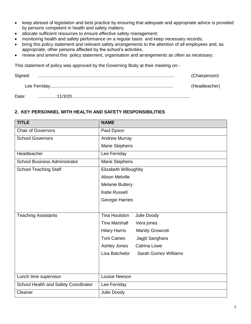- keep abreast of legislation and best practice by ensuring that adequate and appropriate advice is provided by persons competent in health and safety matters;
- allocate sufficient resources to ensure effective safety management;
- monitoring health and safety performance on a regular basis and keep necessary records;
- bring this policy statement and relevant safety arrangements to the attention of all employees and, as appropriate, other persons affected by the school's activities,
- review and amend this policy statement, organisation and arrangements as often as necessary.

This statement of policy was approved by the Governing Body at their meeting on:-

| Signed: | (Chairperson) |
|---------|---------------|
|         | (Headteacher) |
| Date:   |               |

#### **2. KEY PERSONNEL WITH HEALTH AND SAFETY RESPONSIBILITIES**

| <b>TITLE</b>                         | <b>NAME</b>                                   |
|--------------------------------------|-----------------------------------------------|
| <b>Chair of Governors</b>            | Paul Dyson                                    |
| <b>School Governors</b>              | <b>Andrew Murray</b>                          |
|                                      | <b>Marie Stephens</b>                         |
| Headteacher                          | Lee Ferriday                                  |
| <b>School Business Administrator</b> | <b>Marie Stephens</b>                         |
| <b>School Teaching Staff</b>         | Elizabeth Willoughby                          |
|                                      | <b>Alison Melville</b>                        |
|                                      | <b>Melanie Buttery</b>                        |
|                                      | <b>Katie Russell</b>                          |
|                                      | Georgie Harries                               |
|                                      |                                               |
| <b>Teaching Assistants</b>           | <b>Tina Houlston</b><br>Julie Doody           |
|                                      | <b>Tina Marshall</b><br>Vera jones            |
|                                      | <b>Mandy Growcott</b><br><b>Hilary Harris</b> |
|                                      | <b>Toni Caines</b><br>Jagjit Sanghara         |
|                                      | Ashley Jones<br><b>Catrina Lowe</b>           |
|                                      | Lisa Batchelor<br><b>Sarah Gomez Williams</b> |
|                                      |                                               |
|                                      |                                               |
| Lunch time supervisor                | Louise Neeson                                 |
| School Health and Safety Coordinator | Lee Ferriday                                  |
| Cleaner                              | Julie Doody                                   |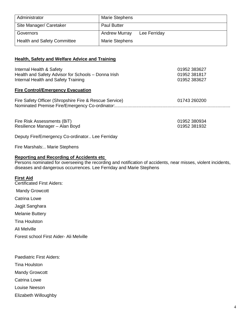| Administrator                      | Marie Stephens                       |
|------------------------------------|--------------------------------------|
| Site Manager/ Caretaker            | <b>Paul Butter</b>                   |
| Governors                          | <b>Andrew Murray</b><br>Lee Ferriday |
| <b>Health and Safety Committee</b> | <b>Marie Stephens</b>                |

#### **Health, Safety and Welfare Advice and Training**

| Internal Health & Safety<br>Health and Safety Advisor for Schools - Donna Irish | 01952 383627<br>01952 381817 |
|---------------------------------------------------------------------------------|------------------------------|
| Internal Health and Safety Training                                             | 01952 383627                 |
| <b>Fire Control/Emergency Evacuation</b>                                        |                              |
| Fire Safety Officer (Shropshire Fire & Rescue Service)                          | 01743 260200                 |
|                                                                                 |                              |
| Fire Risk Assessments (BiT)                                                     | 01952 380934                 |
| Resilience Manager - Alan Boyd                                                  | 01952 381932                 |
| Deputy Fire/Emergency Co-ordinator Lee Ferriday                                 |                              |
|                                                                                 |                              |

Fire Marshals:.. Marie Stephens

## **Reporting and Recording of Accidents etc**

Persons nominated for overseeing the recording and notification of accidents, near misses, violent incidents, diseases and dangerous occurrences. Lee Ferriday and Marie Stephens

#### **First Aid**

Certificated First Aiders: Mandy Growcott Catrina Lowe Jagjit Sanghara Melanie Buttery Tina Houlston Ali Melville Forest school First Aider- Ali Melville

Paediatric First Aiders:

Tina Houlston

Mandy Growcott

Catrina Lowe

Louise Neeson

Elizabeth Willoughby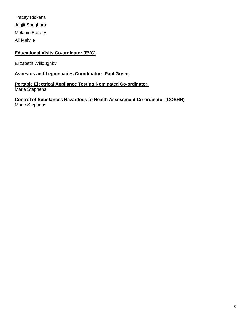Tracey Ricketts Jagjit Sanghara Melanie Buttery Ali Melvile

## **Educational Visits Co-ordinator (EVC)**

Elizabeth Willoughby

# **Asbestos and Legionnaires Coordinator: Paul Green**

#### **Portable Electrical Appliance Testing Nominated Co-ordinator:** Marie Stephens

**Control of Substances Hazardous to Health Assessment Co-ordinator (COSHH)** Marie Stephens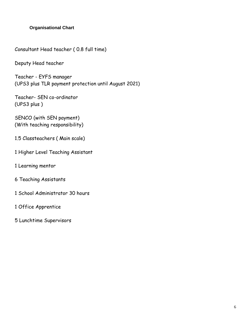# **Organisational Chart**

Consultant Head teacher ( 0.8 full time)

Deputy Head teacher

Teacher - EYFS manager (UPS3 plus TLR payment protection until August 2021)

Teacher- SEN co-ordinator (UPS3 plus )

SENCO (with SEN payment) (With teaching responsibility)

- 1.5 Classteachers ( Main scale)
- 1 Higher Level Teaching Assistant
- 1 Learning mentor
- 6 Teaching Assistants
- 1 School Administrator 30 hours
- 1 Office Apprentice
- 5 Lunchtime Supervisors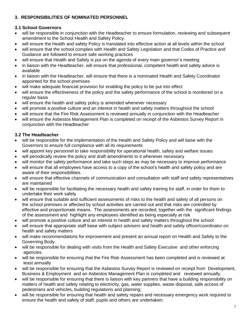# **3. RESPONSIBILITIES OF NOMINATED PERSONNEL**

## **3.1 School Governors**

- will be responsible in conjunction with the Headteacher to ensure formulation, reviewing and subsequent amendment to the School Health and Safety Policy.
- will ensure the Health and safety Policy is translated into effective action at all levels within the school
- will ensure that the school complies with Health and Safety Legislation and that Codes of Practice and Guidance are followed to ensure safe working practices
- will ensure that Health and Safety is put on the agenda of every main governor's meeting
- in liaison with the Headteacher, will ensure that professional, competent health and safety advice is available
- in liaison with the Headteacher, will ensure that there is a nominated Health and Safety Coordinator appointed for the school premises
- will make adequate financial provision for enabling the policy to be put into effect
- will ensure the effectiveness of the policy and the safety performance of the school is monitored on a regular basis
- will ensure the health and safety policy is amended whenever necessary
- will promote a positive culture and an interest in health and safety matters throughout the school
- will ensure that the Fire Risk Assessment is reviewed annually in conjunction with the Headteacher
- will ensure the Asbestos Management Plan is completed on receipt of the Asbestos Survey Report in conjunction with the Headteacher

## **3.2 The Headteacher**

- will be responsible for the implementation of the Health and Safety Policy and will liaise with the Governors to ensure full compliance with all its requirements
- will appoint key personnel to take responsibility for operational health, safety and welfare issues
- will periodically review the policy and draft amendments to it whenever necessary
- will monitor the safety performance and take such steps as may be necessary to improve performance
- will ensure that all employees have access to a copy of the school's health and safety policy and are aware of their responsibilities.
- will ensure that effective channels of communication and consultation with staff and safety representatives are maintained
- will be responsible for facilitating the necessary health and safety training for staff, in order for them to undertake their work safely
- will ensure that suitable and sufficient assessments of risks to the health and safety of all persons on the school premises or affected by school activities are carried out and that risks are controlled by effective and proportionate means. The assessments are recorded, together with the significant findings of the assessment and highlight any employees identified as being especially at risk
- will promote a positive culture and an interest in health and safety matters throughout the school
- will ensure that appropriate staff liaise with subject advisers and health and safety officer/coordinator on health and safety matters
- will make recommendations for improvement and present an annual report on Health and Safety to the Governing Body.
- will be responsible for dealing with visits from the Health and Safety Executive and other enforcing agencies.
- will be responsible for ensuring that the Fire Risk Assessment has been completed and is reviewed at least annually
- will be responsible for ensuring that the Asbestos Survey Report is reviewed on receipt from Development, Business & Employment and an Asbestos Management Plan is completed and reviewed annually.
- will be responsible for ensuring that there is liaison with key partners that have a building responsibility on matters of health and safety relating to electricity, gas, water supplies, waste disposal, safe access of pedestrians and vehicles, building regulations and planning;
- will be responsible for ensuring that health and safety repairs and necessary emergency work required to ensure the health and safety of staff, pupils and others are undertaken;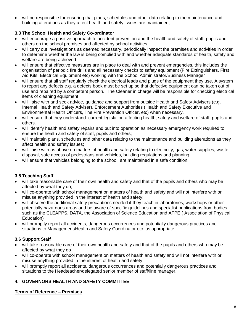will be responsible for ensuring that plans, schedules and other data relating to the maintenance and building alterations as they affect health and safety issues are maintained;

# **3.3 The School Health and Safety Co-ordinator**

- will encourage a positive approach to accident prevention and the health and safety of staff, pupils and others on the school premises and affected by school activities
- will carry out investigations as deemed necessary, periodically inspect the premises and activities in order to determine whether the law is being complied with and whether adequate standards of health, safety and welfare are being achieved
- will ensure that effective measures are in place to deal with and prevent emergencies, this includes the organisation of periodic fire drills and all necessary checks to safety equipment (Fire Extinguishers, First Aid Kits, Electrical Equipment etc) working with the School Administrator/Business Manager
- will ensure that all staff regularly check the electrical leads and plugs of the equipment they use. A system to report any defects e.g. a defects book must be set up so that defective equipment can be taken out of use and repaired by a competent person. The Cleaner in charge will be responsible for checking electrical items of cleaning equipment
- will liaise with and seek advice, guidance and support from outside Health and Safety Advisers (e.g. Internal Health and Safety Adviser), Enforcement Authorities (Health and Safety Executive and Environmental Health Officers, The Fire Prevention Officer, etc) when necessary.
- will ensure that they understand current legislation affecting health, safety and welfare of staff, pupils and others.
- will identify health and safety repairs and put into operation as necessary emergency work required to ensure the health and safety of staff, pupils and others;
- will maintain plans, schedules and other data relating to the maintenance and building alterations as they affect health and safety issues;
- will liaise with as above on matters of health and safety relating to electricity, gas, water supplies, waste disposal, safe access of pedestrians and vehicles, building regulations and planning;
- will ensure that vehicles belonging to the school are maintained in a safe condition.

# **3.5 Teaching Staff**

- will take reasonable care of their own health and safety and that of the pupils and others who may be affected by what they do;
- will co-operate with school management on matters of health and safety and will not interfere with or misuse anything provided in the interest of health and safety;
- will observe the additional safety precautions needed if they teach in laboratories, workshops or other potentially hazardous areas and be aware of specific guidelines and specialist publications from bodies such as the CLEAPPS, DATA, the Association of Science Education and AFPE ( Association of Physical Education)
- will promptly report all accidents, dangerous occurrences and potentially dangerous practices and situations to Management\Health and Safety Coordinator etc. as appropriate.

# **3.6 Support Staff**

- will take reasonable care of their own health and safety and that of the pupils and others who may be affected by what they do
- will co-operate with school management on matters of health and safety and will not interfere with or misuse anything provided in the interest of health and safety
- will promptly report all accidents, dangerous occurrences and potentially dangerous practices and situations to the Headteacher\delegated senior member of staff\line manager.

# **4. GOVERNORS HEALTH AND SAFETY COMMITTEE**

## **Terms of Reference – Premises**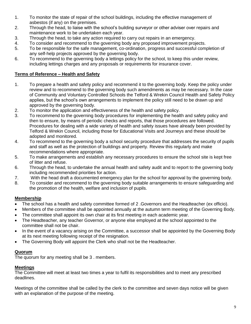- 1. To monitor the state of repair of the school buildings, including the effective management of asbestos (if any) on the premises.
- 2. Through the head, to liaise with the school's building surveyor or other adviser over repairs and maintenance work to be undertaken each year.
- 3. Through the head, to take any action required to carry out repairs in an emergency.
- 4. To consider and recommend to the governing body any proposed improvement projects.
- 5. To be responsible for the safe management, co-ordination, progress and successful completion of any self-help projects approved by the governing body.
- 6. To recommend to the governing body a lettings policy for the school, to keep this under review, including lettings charges and any proposals or requirements for insurance cover.

## **Terms of Reference – Health and Safety**

- 1. To prepare a health and safety policy and recommend it to the governing body. Keep the policy under review and to recommend to the governing body such amendments as may be necessary. In the case of Community and Voluntary Controlled Schools the Telford & Wrekin Council Health and Safety Policy applies, but the school's own arrangements to implement the policy still need to be drawn up and approved by the governing body.
- 2. To monitor the application and effectiveness of the health and safety policy.
- 3. To recommend to the governing body procedures for implementing the health and safety policy and then to ensure, by means of periodic checks and reports, that those procedures are followed. Procedures for dealing with a wide variety of health and safety issues have already been provided by Telford & Wrekin Council, including those for Educational Visits and Journeys and these should be adopted and monitored.
- 4. To recommend to the governing body a school security procedure that addresses the security of pupils and staff as well as the protection of buildings and property. Review this regularly and make recommendations where appropriate.
- 5. To make arrangements and establish any necessary procedures to ensure the school site is kept free of litter and refuse.
- 6. Through the head, to undertake the annual health and safety audit and to report to the governing body including recommended priorities for action.
- 7. With the head draft a documented emergency plan for the school for approval by the governing body.
- 8. To consider and recommend to the governing body suitable arrangements to ensure safeguarding and the promotion of the health, welfare and inclusion of pupils.

#### **Membership**

- The school has a health and safety committee formed of 2 .Governors and the Headteacher (ex officio).
- Members of the committee shall be appointed annually at the autumn term meeting of the Governing Body.
- The committee shall appoint its own chair at its first meeting in each academic year.
- The Headteacher, any teacher Governor, or anyone else employed at the school appointed to the committee shall not be chair.
- In the event of a vacancy arising on the Committee, a successor shall be appointed by the Governing Body at its next meeting following receipt of the resignation.
- The Governing Body will appoint the Clerk who shall not be the Headteacher.

#### **Quorum**

The quorum for any meeting shall be 3 . members.

## **Meetings**

The Committee will meet at least two times a year to fulfil its responsibilities and to meet any prescribed deadlines.

Meetings of the committee shall be called by the clerk to the committee and seven days notice will be given with an explanation of the purpose of the meeting.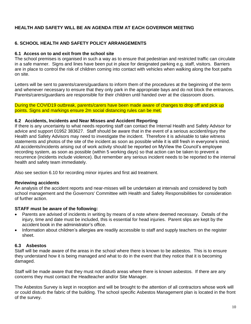## **HEALTH AND SAFETY WILL BE AN AGENDA ITEM AT EACH GOVERNOR MEETING**

#### **6. SCHOOL HEALTH AND SAFETY POLICY ARRANGEMENTS**

#### **6.1 Access on to and exit from the school site**

The school premises is organised in such a way as to ensure that pedestrian and restricted traffic can circulate in a safe manner. Signs and lines have been put in place for designated parking e.g. staff, visitors. Barriers are in place to control the risk of children coming into contact with vehicles when walking along the foot paths on site.

Letters will be sent to parents/carers/guardians to inform them of the procedures at the beginning of the term and whenever necessary to ensure that they only park in the appropriate bays and do not block the entrances. Parents/carers/guardians are responsible for their children until handed over at the classroom doors.

During the COVID19 outbreak, parents/carers have been made aware of changes to drop off and pick up points. Signs and markings ensure 2m social distancing rules can be met.

#### **6.2 Accidents, Incidents and Near Misses and Accident Reporting**

If there is any uncertainty to what needs reporting staff can contact the Internal Health and Safety Advisor for advice and support 01952 383627. Staff should be aware that in the event of a serious accident/injury the Health and Safety Advisors may need to investigate the incident. Therefore it is advisable to take witness statements and photos of the site of the incident as soon as possible while it is still fresh in everyone's mind. All accidents/incidents arising out of work activity should be reported on MyView the Council's employee recording system, as soon as possible (within 5 working days) so that action can be taken to prevent a recurrence (incidents include violence). But remember any serious incident needs to be reported to the internal health and safety team immediately.

Also see section 6.10 for recording minor injuries and first aid treatment.

#### **Reviewing accidents**

An analysis of the accident reports and near-misses will be undertaken at intervals and considered by both school management and the Governors' Committee with Health and Safety Responsibilities for consideration of further action.

#### **STAFF must be aware of the following:**

- Parents are advised of incidents in writing by means of a note where deemed necessary. Details of the injury, time and date must be included, this is essential for head injuries. Parent slips are kept by the accident book in the administrator's office.
- Information about children's allergies are readily accessible to staff and supply teachers on the register sheet.

#### **6.3 Asbestos**

Staff will be made aware of the areas in the school where there is known to be asbestos. This is to ensure they understand how it is being managed and what to do in the event that they notice that it is becoming damaged.

Staff will be made aware that they must not disturb areas where there is known asbestos. If there are any concerns they must contact the Headteacher and/or Site Manager.

The Asbestos Survey is kept in reception and will be brought to the attention of all contractors whose work will or could disturb the fabric of the building. The school specific Asbestos Management plan is located in the front of the survey.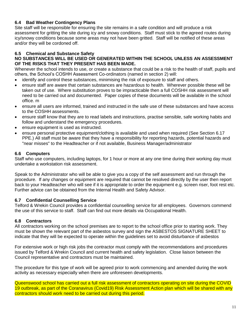## **6.4 Bad Weather Contingency Plans**

Site staff will be responsible for ensuring the site remains in a safe condition and will produce a risk assessment for gritting the site during icy and snowy conditions. Staff must stick to the agreed routes during icy/snowy conditions because some areas may not have been gritted. Staff will be notified of these areas and/or they will be cordoned off.

## **6.5 Chemical and Substance Safety**

#### **NO SUBSTANCES WILL BE USED OR GENERATED WITHIN THE SCHOOL UNLESS AN ASSESSMENT OF THE RISKS THAT THEY PRESENT HAS BEEN MADE.**

Whenever the school intends to use, or create a substance that could be a risk to the health of staff, pupils and others, the School's COSHH Assessment Co-ordinators (named in section 2) will:

- identify and control these substances, minimising the risk of exposure to staff and others.
- ensure staff are aware that certain substances are hazardous to health. Wherever possible these will be taken out of use. Where substitution proves to be impracticable then a full COSHH risk assessment will need to be carried out and documented. Paper copies of these documents will be available in the school office. m
- ensure all users are informed, trained and instructed in the safe use of these substances and have access to the COSHH assessments.
- ensure staff know that they are to read labels and instructions, practise sensible, safe working habits and follow and understand the emergency procedures.
- ensure equipment is used as instructed.
- ensure personal protective equipment/clothing is available and used when required (See Section 6.17 PPE.) All staff must be aware that they have a responsibility for reporting hazards, potential hazards and "near misses" to the Headteacher or if not available, Business Manager/administrator

#### **6.6 Computers**

Staff who use computers, including laptops, for 1 hour or more at any one time during their working day must undertake a workstation risk assessment.

Speak to the Administrator who will be able to give you a copy of the self assessment and run through the procedure. If any changes or equipment are required that cannot be resolved directly by the user then report back to your Headteacher who will see if it is appropriate to order the equipment e.g. screen riser, foot rest etc. Further advice can be obtained from the Internal Health and Safety Advisor.

#### **6.7 Confidential Counselling Service**

Telford & Wrekin Council provides a confidential counselling service for all employees. Governors commend the use of this service to staff. Staff can find out more details via Occupational Health.

#### **6.8 Contractors**

All contractors working on the school premises are to report to the school office prior to starting work. They must be shown the relevant part of the asbestos survey and sign the ASBESTOS SIGNATURE SHEET to indicate that they will be expected to operate within the guidelines set to avoid disturbance of asbestos

For extensive work or high risk jobs the contractor must comply with the recommendations and procedures issued by Telford & Wrekin Council and current health and safety legislation. Close liaison between the Council representative and contractors must be maintained.

The procedure for this type of work will be agreed prior to work commencing and amended during the work activity as necessary especially when there are unforeseen developments.

Queenswood school has carried out a full risk assessment of contractors operating on site during the COVID 19 outbreak, as part of the Coranavirus (Covid19) Risk Assessment Action plan which will be shared with any contractors should work need to be carried out during this period.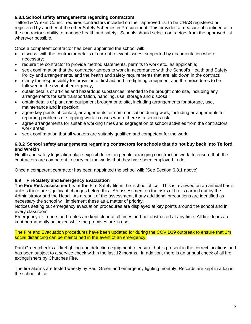## **6.8.1 School safety arrangements regarding contractors**

Telford & Wrekin Council requires contractors included on their approved list to be CHAS registered or registered by another of the other Safety Schemes in Procurement. This provides a measure of confidence in the contractor's ability to manage health and safety. Schools should select contractors from the approved list wherever possible.

Once a competent contractor has been appointed the school will:

- discuss with the contractor details of current relevant issues, supported by documentation where necessary;
- require the contractor to provide method statements, permits to work etc., as applicable;
- seek confirmation that the contractor agrees to work in accordance with the School's Health and Safety Policy and arrangements, and the health and safety requirements that are laid down in the contract;
- clarify the responsibility for provision of first aid and fire fighting equipment and the procedures to be followed in the event of emergency;
- obtain details of articles and hazardous substances intended to be brought onto site, including any arrangements for safe transportation, handling, use, storage and disposal;
- obtain details of plant and equipment brought onto site, including arrangements for storage, use, maintenance and inspection;
- agree key points of contact, arrangements for communication during work, including arrangements for reporting problems or stopping work in cases where there is a serious risk
- agree arrangements for suitable working times and segregation of school activities from the contractors work areas;
- seek confirmation that all workers are suitably qualified and competent for the work

#### **6.8.2 School safety arrangements regarding contractors for schools that do not buy back into Telford and Wrekin**

Health and safety legislation place explicit duties on people arranging construction work, to ensure that the contractors are competent to carry out the works that they have been employed to do

Once a competent contractor has been appointed the school will: (See Section 6.8.1 above)

## **6.9 Fire Safety and Emergency Evacuation**

**The Fire Risk assessment is in the** Fire Safety file in the school office. This is reviewed on an annual basis unless there are significant changes before this. An assessment on the risks of fire is carried out by the Administrator and the Head. As a result of the assessment, if any additional precautions are identified as necessary the school will implement these as a matter of priority.

Notices setting out emergency evacuation procedures are displayed at key points around the school and in every classroom

Emergency exit doors and routes are kept clear at all times and not obstructed at any time. All fire doors are kept permanently unlocked while the premises are in use.

The Fire and Evacuation procedures have been updated for during the COVID19 outbreak to ensure that 2m social distancing can be maintained in the event of an emergency.

Paul Green checks all firefighting and detection equipment to ensure that is present in the correct locations and has been subject to a service check within the last 12 months. In addition, there is an annual check of all fire extinguishers by Churches Fire.

The fire alarms are tested weekly by Paul Green and emergency lighting monthly. Records are kept in a log in the school office.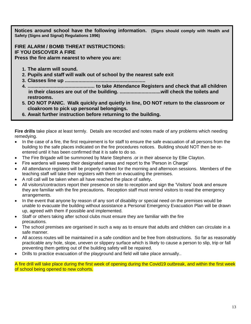**Notices around school have the following information. (Signs should comply with Health and Safety (Signs and Signal) Regulations 1996)**

**FIRE ALARM / BOMB THREAT INSTRUCTIONS: IF YOU DISCOVER A FIRE Press the fire alarm nearest to where you are:**

- **1. The alarm will sound.**
- **2. Pupils and staff will walk out of school by the nearest safe exit**
- **3. Classes line up ...........................................................**
- **4. ................................................. to take Attendance Registers and check that all children in their classes are out of the building. ..............................will check the toilets and restrooms.**
- **5. DO NOT PANIC. Walk quickly and quietly in line, DO NOT return to the classroom or cloakroom to pick up personal belongings.**
- **6. Await further instruction before returning to the building.**

**Fire drills** take place at least termly. Details are recorded and notes made of any problems which needing remedying.

- In the case of a fire, the first requirement is for staff to ensure the safe evacuation of all persons from the building to the safe places indicated on the fire procedures notices. Building should NOT then be reentered until it has been confirmed that it is safe to do so.
- The Fire Brigade will be summoned by Marie Stephens .or in their absence by Ellie Clayton.
- Fire wardens will sweep their designated areas and report to the 'Person in Charge'
- All attendance registers will be properly marked for the morning and afternoon sessions. Members of the teaching staff will take their registers with them on evacuating the premises.
- A roll call will be taken when all have reached the place of safety**.**
- All visitors/contractors report their presence on site to reception and sign the 'Visitors' book and ensure they are familiar with the fire precautions**.** Reception staff must remind visitors to read the emergency arrangements.
- In the event that anyone by reason of any sort of disability or special need on the premises would be unable to evacuate the building without assistance a Personal Emergency Evacuation Plan will be drawn up, agreed with them if possible and implemented.
- Staff or others taking after school clubs must ensure they are familiar with the fire precautions.
- The school premises are organised in such a way as to ensure that adults and children can circulate in a safe manner.
- All access routes will be maintained in a safe condition and be free from obstructions. So far as reasonably practicable any hole, slope, uneven or slippery surface which is likely to cause a person to slip, trip or fall preventing them getting out of the building safety will be repaired.
- Drills to practice evacuation of the playground and field will take place annually..

A fire drill will take place during the first week of opening during the Covid19 outbreak, and within the first week of school being opened to new cohorts.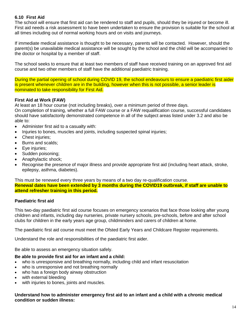# **6.10 First Aid**

The school will ensure that first aid can be rendered to staff and pupils, should they be injured or become ill. First aid needs a risk assessment to have been undertaken to ensure the provision is suitable for the school at all times including out of normal working hours and on visits and journeys.

If immediate medical assistance is thought to be necessary, parents will be contacted. However, should the parent(s) be unavailable medical assistance will be sought by the school and the child will be accompanied to the doctor or hospital by a member of staff.

The school seeks to ensure that at least two members of staff have received training on an approved first aid course and two other members of staff have the additional paediatric training.

During the partial opening of school during COVID 19, the school endeavours to ensure a paediatric first aider is present whenever children are in the building, however when this is not possible, a senior leader is nominated to take responsibility for First Aid.

## **First Aid at Work (FAW)**

At least an 18 hour course (not including breaks), over a minimum period of three days.

On completion of training, whether a full FAW course or a FAW requalification course, successful candidates should have satisfactorily demonstrated competence in all of the subject areas listed under 3.2 and also be able to:

- Administer first aid to a casualty with:
- Injuries to bones, muscles and joints, including suspected spinal injuries;
- Chest injuries;
- Burns and scalds:
- Eye injuries;
- Sudden poisoning;
- Anaphylactic shock;
- Recognise the presence of major illness and provide appropriate first aid (including heart attack, stroke, epilepsy, asthma, diabetes).

This must be renewed every three years by means of a two day re-qualification course. **Renewal dates have been extended by 3 months during the COVID19 outbreak, if staff are unable to attend refresher training in this period.**

## **Paediatric first aid**

This two-day paediatric first aid course focuses on emergency scenarios that face those looking after young children and infants, including day nurseries, private nursery schools, pre-schools, before and after school clubs for children in the early years age group, childminders and carers of children at home.

The paediatric first aid course must meet the Ofsted Early Years and Childcare Register requirements.

Understand the role and responsibilities of the paediatric first aider.

Be able to assess an emergency situation safely.

#### **Be able to provide first aid for an infant and a child:**

- who is unresponsive and breathing normally, including child and infant resuscitation
- who is unresponsive and not breathing normally
- who has a foreign body airway obstruction
- with external bleeding
- with injuries to bones, joints and muscles.

#### **Understand how to administer emergency first aid to an infant and a child with a chronic medical condition or sudden illness:**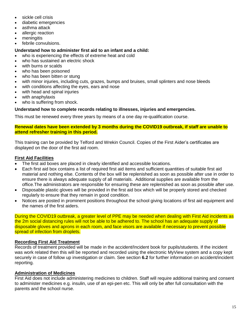- sickle cell crisis
- diabetic emergencies
- asthma attack
- allergic reaction
- meningitis
- febrile convulsions.

## **Understand how to administer first aid to an infant and a child:**

- who is experiencing the effects of extreme heat and cold
- who has sustained an electric shock
- with burns or scalds
- who has been poisoned
- who has been bitten or stung
- with minor injuries, including cuts, grazes, bumps and bruises, small splinters and nose bleeds
- with conditions affecting the eyes, ears and nose
- with head and spinal injuries
- with anaphylaxis
- who is suffering from shock.

## **Understand how to complete records relating to illnesses, injuries and emergencies.**

This must be renewed every three years by means of a one day re-qualification course.

#### **Renewal dates have been extended by 3 months during the COVID19 outbreak, if staff are unable to attend refresher training in this period.**

This training can be provided by Telford and Wrekin Council. Copies of the First Aider's certificates are displayed on the door of the first aid room.

# **First Aid Facilities**

- The first aid boxes are placed in clearly identified and accessible locations.
- Each first aid box contains a list of required first aid items and sufficient quantities of suitable first aid material and nothing else. Contents of the box will be replenished as soon as possible after use in order to ensure there is always adequate supply of all materials. Additional supplies are available from the office.The administrators are responsible for ensuring these are replenished as soon as possible after use.
- Disposable plastic gloves will be provided in the first aid box which will be properly stored and checked regularly to ensure that they remain in good condition.
- Notices are posted in prominent positions throughout the school giving locations of first aid equipment and the names of the first aiders.

During the COVID19 outbreak, a greater level of PPE may be needed when dealing with First Aid incidents as the 2m social distancing rules will not be able to be adhered to. The school has an adequate supply of disposable gloves and aprons in each room, and face visors are available if necessary to prevent possible spread of infection from droplets.

## **Recording First Aid Treatment**

Records of treatment provided will be made in the accident/Incident book for pupils/students. If the incident was work related then this will be reported and recorded using the electronic MyView system and a copy kept securely in case of follow up investigation or claim. See section **6.2** for further information on accident/incident reporting.

## **Administration of Medicines**

First Aid does not include administering medicines to children. Staff will require additional training and consent to administer medicines e.g. insulin, use of an epi-pen etc. This will only be after full consultation with the parents and the school nurse.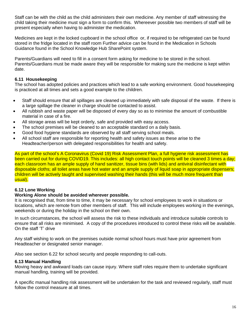Staff can be with the child as the child administers their own medicine. Any member of staff witnessing the child taking their medicine must sign a form to confirm this. Whereever possible two members of staff will be present especially when having to administer the medication.

Medicines are kept in the locked cupboard in the school office or, if required to be refrigerated can be found stored in the fridge located in the staff room Further advice can be found in the Medication in Schools Guidance found in the School Knowledge Hub SharePoint system.

Parents/Guardians will need to fill in a consent form asking for medicine to be stored in the school. Parents/Guardians must be made aware they will be responsible for making sure the medicine is kept within date.

#### **6.11 Housekeeping**

The school has adopted policies and practices which lead to a safe working environment. Good housekeeping is practiced at all times and sets a good example to the children.

- Staff should ensure that all spillages are cleaned up immediately with safe disposal of the waste. If there is a large spillage the cleaner in charge should be contacted to assist.
- All rubbish and waste paper will be disposed of every day so as to minimise the amount of combustible material in case of a fire.
- All storage areas will be kept orderly, safe and provided with easy access.
- The school premises will be cleaned to an acceptable standard on a daily basis.
- Good food hygiene standards are observed by all staff serving school meals.
- All school staff are responsible for reporting health and safety issues as these arise to the Headteacher/person with delegated responsibilities for health and safety.

As part of the school's A Coronavirus (Covid 19) Risk Assessment Plan, a full hygiene risk assessment has been carried out for during COVID19. This includes: all high contact touch points will be cleaned 3 times a day; each classroom has an ample supply of hand sanitizer, tissue bins (with lids) and antiviral disinfectant with disposable cloths; all toilet areas have hot water and an ample supply of liquid soap in appropriate dispensers; children will be actively taught and supervised washing their hands (this will be much more frequent than usual).

## **6.12 Lone Working**

#### **Working Alone should be avoided wherever possible.**

It is recognised that, from time to time, it may be necessary for school employees to work in situations or locations, which are remote from other members of staff. This will include employees working in the evenings, weekends or during the holiday in the school on their own.

In such circumstances, the school will assess the risk to these individuals and introduce suitable controls to ensure that all risks are minimised. A copy of the procedures introduced to control these risks will be available. On the staff 'T' drive

Any staff wishing to work on the premises outside normal school hours must have prior agreement from Headteacher or designated senior manager.

Also see section 6.22 for school security and people responding to call-outs.

#### **6.13 Manual Handling**

Moving heavy and awkward loads can cause injury. Where staff roles require them to undertake significant manual handling, training will be provided.

A specific manual handling risk assessment will be undertaken for the task and reviewed regularly, staff must follow the control measure at all times.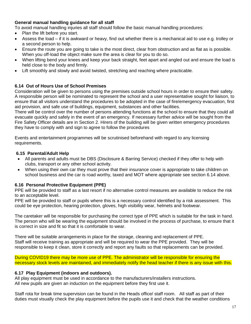## **General manual handling guidance for all staff**

To avoid manual handling injuries all staff should follow the basic manual handling procedures:

- Plan the lift before you start.
- Assess the load if it is awkward or heavy, find out whether there is a mechanical aid to use e.g. trolley or a second person to help.
- Ensure the route you are going to take is the most direct, clear from obstruction and as flat as is possible. When you off-load the object make sure the area is clear for you to do so.
- When lifting bend your knees and keep your back straight, feet apart and angled out and ensure the load is held close to the body and firmly.
- Lift smoothly and slowly and avoid twisted, stretching and reaching where practicable.

#### **6.14 Out of Hours Use of School Premises**

Consideration will be given to persons using the premises outside school hours in order to ensure their safety. A responsible person will be nominated to represent the school and a user representative sought for liaison, to ensure that all visitors understand the procedures to be adopted in the case of fire/emergency evacuation, first aid provision, and safe use of buildings, equipment, substances and other facilities.

There will be control over the number of persons attending functions at the school to ensure that they could all evacuate quickly and safely in the event of an emergency. If necessary further advice will be sought from the Fire Safety Officer details are in Section 2. Hirers of the building will be given written emergency procedures they have to comply with and sign to agree to follow the procedures

Events and entertainment programmes will be scrutinised beforehand with regard to any licensing requirements.

#### **6.15 Parental/Adult Help**

- All parents and adults must be DBS (Disclosure & Barring Service) checked if they offer to help with clubs, transport or any other school activity.
- When using their own car they must prove that their insurance cover is appropriate to take children on school business and the car is road worthy, taxed and MOT where appropriate see section 6.14 above.

#### **6.16 Personal Protective Equipment (PPE)**

PPE will be provided to staff as a last resort if no alternative control measures are available to reduce the risk to an acceptable level.

PPE will be provided to staff or pupils where this is a necessary control identified by a risk assessment. This could be eye protection, hearing protection, gloves, high visibility wear, helmets and footwear.

The caretaker will be responsible for purchasing the correct type of PPE which is suitable for the task in hand. The person who will be wearing the equipment should be involved in the process of purchase, to ensure that it is correct in size and fit so that it is comfortable to wear.

There will be suitable arrangements in place for the storage, cleaning and replacement of PPE. Staff will receive training as appropriate and will be required to wear the PPE provided. They will be responsible to keep it clean, store it correctly and report any faults so that replacements can be provided.

During COVID19 there may be more use of PPE. The administrator will be responsible for ensuring the necessary stock levels are maintained, and immediately notify the head teacher if there is any issue with this.

#### **6.17 Play Equipment (indoors and outdoors).**

All play equipment must be used in accordance to the manufacturers/installers instructions. All new pupils are given an induction on the equipment before they first use it.

Staff rota for break time supervision can be found in the Heads office/ staff room. All staff as part of their duties must visually check the play equipment before the pupils use it and check that the weather conditions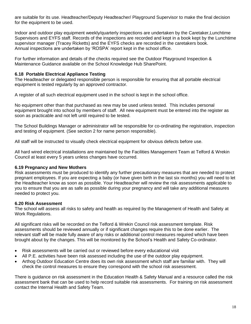are suitable for its use. Headteacher/Deputy Headteacher/ Playground Supervisor to make the final decision for the equipment to be used.

Indoor and outdoor play equipment weekly/quarterly inspections are undertaken by the Caretaker,Lunchtime Supervisors and EYFS staff. Records of the inspections are recorded and kept in a book kept by the Lunchtime supervisor manager (Tracey Ricketts) and the EYFS checks are recorded in the caretakers book. Annual inspections are undertaken by 'ROSPA' report kept in the school office.

For further information and details of the checks required see the Outdoor Playground Inspection & Maintenance Guidance available on the School Knowledge Hub SharePoint.

#### **6.18 Portable Electrical Appliance Testing**

The Headteacher or delegated responsible person is responsible for ensuring that all portable electrical equipment is tested regularly by an approved contractor.

A register of all such electrical equipment used in the school is kept in the school office.

No equipment other than that purchased as new may be used unless tested. This includes personal equipment brought into school by members of staff. All new equipment must be entered into the register as soon as practicable and not left until required to be tested.

The School Buildings Manager or administrator will be responsible for co-ordinating the registration, inspection and testing of equipment. (See section 2 for name person responsible).

All staff will be instructed to visually check electrical equipment for obvious defects before use.

All hard wired electrical installations are maintained by the Facilities Management Team at Telford & Wrekin Council at least every 5 years unless changes have occurred.

#### **6.19 Pregnancy and New Mothers**

Risk assessments must be produced to identify any further precautionary measures that are needed to protect pregnant employees. If you are expecting a baby (or have given birth in the last six months) you will need to let the Headteacher know as soon as possible. Your Headteacher will review the risk assessments applicable to you to ensure that you are as safe as possible during your pregnancy and will take any additional measures needed to protect you.

## **6.20 Risk Assessment**

The school will assess all risks to safety and health as required by the Management of Health and Safety at Work Regulations.

All significant risks will be recorded on the Telford & Wrekin Council risk assessment template. Risk assessments should be reviewed annually or if significant changes require this to be done earlier. The relevant staff will be made fully aware of any risks or additional control measures required which have been brought about by the changes. This will be monitored by the School's Health and Safety Co-ordinator.

- Risk assessments will be carried out or reviewed before every educational visit
- All P.E. activities have been risk assessed including the use of the outdoor play equipment.
- Arthog Outdoor Education Centre does its own risk assessment which staff are familiar with. They will check the control measures to ensure they correspond with the school risk assessment.

There is guidance on risk assessment in the Education Health & Safety Manual and a resource called the risk assessment bank that can be used to help record suitable risk assessments. For training on risk assessment contact the Internal Health and Safety Team.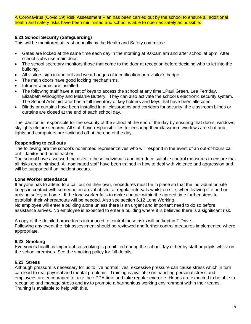A Coronavirus (Covid 19) Risk Assessment Plan has been carried out by the school to ensure all additional health and safety risks have been minimised and school is able to open as safely as possible.

## **6.21 School Security (Safeguarding)**

This will be monitored at least annually by the Health and Safety committee.

- Gates are locked at the same time each day in the morning at 9.00am.am and after school at 6pm After school clubs use main door.
- The school secretary monitors those that come to the door at reception before deciding who to let into the building.
- All visitors sign in and out and wear badges of identification or a visitor's badge.
- The main doors have good locking mechanisms.
- Intruder alarms are installed.
- The following staff have a set of keys to access the school at any time:..Paul Green, Lee Ferriday, Elizabeth Willoughby and Melanie Buttery. They can also activate the school's electronic security system. The School Administrator has a full inventory of key holders and keys that have been allocated.
- Blinds or curtains have been installed in all classrooms and corridors for security, the classroom blinds or curtains are closed at the end of each school day.

The Janitor is responsible for the security of the school at the end of the day by ensuring that doors, windows, skylights etc are secured. All staff have responsibilities for ensuring their classroom windows are shut and lights and computers are switched off at the end of the day.

## **Responding to call outs**

The following are the school's nominated representatives who will respond in the event of an out-of-hours call out : Janitor and headteacher.

The school have assessed the risks to these individuals and introduce suitable control measures to ensure that all risks are minimised. All nominated staff have been trained in how to deal with violence and aggression and will be supported if an incident occurs.

## **Lone Worker attendance**

If anyone has to attend to a call out on their own, procedures must be in place so that the individual on site keeps in contact with someone on arrival at site, at regular intervals whilst on site, when leaving site and on arriving safely at home. If the lone worker fails to make contact within the agreed time further steps to establish their whereabouts will be needed. Also see section 6.12 Lone Working.

No employee will enter a building alone unless there is an urgent and important need to do so before assistance arrives. No employee is expected to enter a building where it is believed there is a significant risk.

A copy of the detailed procedures introduced to control these risks will be kept in T Drive.. Following any event the risk assessment should be reviewed and further control measures implemented where appropriate.

## **6.22 Smoking**

Everyone's health is important so smoking is prohibited during the school day either by staff or pupils whilst on the school premises. See the smoking policy for full details.

## **6.23 Stress**

Although pressure is necessary for us to live normal lives, excessive pressure can cause stress which in turn can lead to real physical and mental problems. Training is available on handling personal stress and employees are encouraged to take their PPA time and take regular exercise. Heads are expected to be able to recognise and manage stress and try to promote a harmonious working environment within their teams. Training is available to help with this.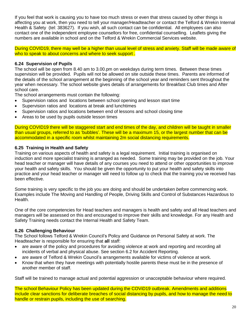If you feel that work is causing you to have too much stress or even that stress caused by other things is affecting you at work, then you need to tell your manager/Headteacher or contact the Telford & Wrekin Internal Health & Safety (tel: 383627). If you wish, all such contact can be confidential. All employees can also contact one of the independent employee counsellors for free, confidential counselling. Leaflets giving the numbers are available in school and on the Telford & Wrekin Commercial Services website.

During COVID19, there may well be a higher than usual level of stress and anxiety. Staff will be made aware of who to speak to about concerns and where to seek support.

#### **6.24 Supervision of Pupils**

The school will be open from 8.40 am to 3.00.pm on weekdays during term times. Between these times supervision will be provided. Pupils will not be allowed on site outside these times. Parents are informed of the details of the school arrangement at the beginning of the school year and reminders sent throughout the year when necessary. The school website gives details of arrangements for Breakfast Club times and After school care.

The school arrangements must contain the following:

- Supervision ratios and locations between school opening and lesson start time
- Supervision ratios and locations at break and lunchtimes
- Supervision ratios and locations between end of lessons and school closing time
- Areas to be used by pupils outside lesson times

During COVID19 there will be staggered start and end times of the day, and children will be taught in smaller than usual groups, referred to as 'bubbles'. These will be a maximum 15, or the largest number that can be accommodated in a specific room whilst maintaining 2m social distancing requirements.

#### **6.25 Training in Health and Safety**

Training on various aspects of health and safety is a legal requirement. Initial training is organised on induction and more specialist training is arranged as needed. Some training may be provided on the job. Your head teacher or manager will have details of any courses you need to attend or other opportunities to improve your health and safety skills. You should be given the opportunity to put your health and safety skills into practice and your head teacher or manager will need to follow up to check that the training you've received has been effective.

Some training is very specific to the job you are doing and should be undertaken *before* commencing work. Examples include The Moving and Handling of People, Driving Skills and Control of Substances Hazardous to Health.

One of the core competencies for Head teachers and managers is health and safety and all Head teachers and managers will be assessed on this and encouraged to improve their skills and knowledge. For any Health and Safety Training needs contact the Internal Health and Safety Team.

#### **6.26 Challenging Behaviour**

The School follows Telford & Wrekin Council's Policy and Guidance on Personal Safety at work. The Headteacher is responsible for ensuring that **all** staff:

- are aware of the policy and procedures for avoiding violence at work and reporting and recording all incidents of verbal and physical abuse. See section 6.2 for Accident Reporting.
- are aware of Telford & Wrekin Council's arrangements available for victims of violence at work.
- Know that when they have meetings with potentially hostile parents these must be in the presence of another member of staff.

Staff will be trained to manage actual and potential aggression or unacceptable behaviour where required.

The school Behaviour Policy has been updated during the COViD19 outbreak. Amendments and additions include clear sanctions for deliberate breaches of social distancing by pupils, and how to manage the need to handle or restrain pupils, including the use of searching.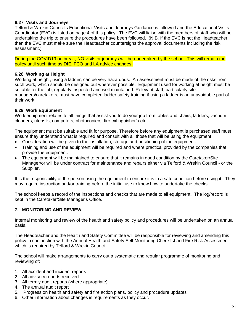## **6.27 Visits and Journeys**

Telford & Wrekin Council's Educational Visits and Journeys Guidance is followed and the Educational Visits Coordinator (EVC) is listed on page 4 of this policy. The EVC will liaise with the members of staff who will be undertaking the trip to ensure the procedures have been followed. (N.B. If the EVC is not the Headteacher then the EVC must make sure the Headteacher countersigns the approval documents including the risk assessment.)

During the COVID19 outbreak, NO visits or journeys will be undertaken by the school. This will remain the policy until such time as DfE, FCO and LA advice changes.

#### **6.28 Working at Height**

Working at height, using a ladder, can be very hazardous. An assessment must be made of the risks from such work, which should be designed out wherever possible. Equipment used for working at height must be suitable for the job, regularly inspected and well maintained. Relevant staff, particularly site managers/caretakers, must have completed ladder safety training if using a ladder is an unavoidable part of their work.

#### **6.29 Work Equipment**

Work equipment relates to all things that assist you to do your job from tables and chairs, ladders, vacuum cleaners, utensils, computers, photocopiers, fire extinguisher's etc.

The equipment must be suitable and fit for purpose. Therefore before any equipment is purchased staff must ensure they understand what is required and consult with all those that will be using the equipment:

- Consideration will be given to the installation, storage and positioning of the equipment.
- Training and use of the equipment will be required and where practical provided by the companies that provide the equipment.
- The equipment will be maintained to ensure that it remains in good condition by the Caretaker/Site Manager/or will be under contract for maintenance and repairs either via Telford & Wrekin Council - or the Supplier.

It is the responsibility of the person using the equipment to ensure it is in a safe condition before using it. They may require instruction and/or training before the initial use to know how to undertake the checks.

The school keeps a record of the inspections and checks that are made to all equipment. The log/record is kept in the Caretaker/Site Manager's Office.

## **7. MONITORING AND REVIEW**

Internal monitoring and review of the health and safety policy and procedures will be undertaken on an annual basis.

The Headteacher and the Health and Safety Committee will be responsible for reviewing and amending this policy in conjunction with the Annual Health and Safety Self Monitoring Checklist and Fire Risk Assessment which is required by Telford & Wrekin Council.

The school will make arrangements to carry out a systematic and regular programme of monitoring and reviewing of:

- 1. All accident and incident reports
- 2. All advisory reports received
- 3. All termly audit reports (where appropriate)
- 4. The annual audit report
- 5. Progress on health and safety and fire action plans, policy and procedure updates
- 6. Other information about changes is requirements as they occur.